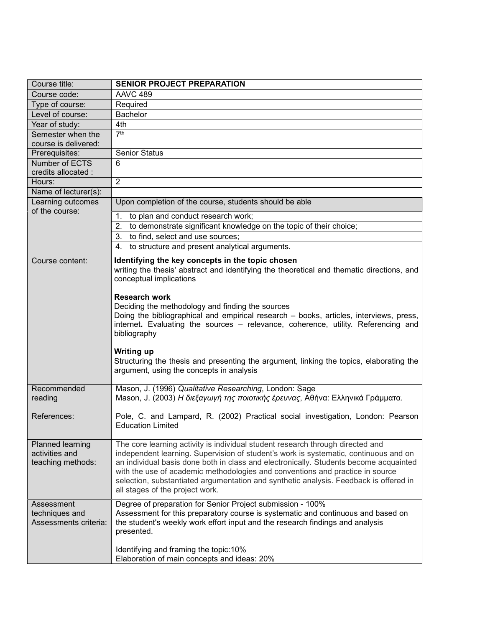| Course title:         | <b>SENIOR PROJECT PREPARATION</b>                                                                 |
|-----------------------|---------------------------------------------------------------------------------------------------|
| Course code:          | <b>AAVC 489</b>                                                                                   |
| Type of course:       | Required                                                                                          |
| Level of course:      | <b>Bachelor</b>                                                                                   |
| Year of study:        | 4th                                                                                               |
| Semester when the     | 7 <sup>th</sup>                                                                                   |
| course is delivered:  |                                                                                                   |
| Prerequisites:        | <b>Senior Status</b>                                                                              |
| Number of ECTS        | 6                                                                                                 |
| credits allocated :   |                                                                                                   |
| Hours:                | $\overline{2}$                                                                                    |
| Name of lecturer(s):  |                                                                                                   |
| Learning outcomes     | Upon completion of the course, students should be able                                            |
| of the course:        | to plan and conduct research work;<br>1.                                                          |
|                       | 2.<br>to demonstrate significant knowledge on the topic of their choice;                          |
|                       | 3. to find, select and use sources;                                                               |
|                       | to structure and present analytical arguments.<br>4.                                              |
| Course content:       | Identifying the key concepts in the topic chosen                                                  |
|                       | writing the thesis' abstract and identifying the theoretical and thematic directions, and         |
|                       | conceptual implications                                                                           |
|                       |                                                                                                   |
|                       | <b>Research work</b>                                                                              |
|                       | Deciding the methodology and finding the sources                                                  |
|                       | Doing the bibliographical and empirical research - books, articles, interviews, press,            |
|                       | internet. Evaluating the sources - relevance, coherence, utility. Referencing and<br>bibliography |
|                       |                                                                                                   |
|                       | <b>Writing up</b>                                                                                 |
|                       | Structuring the thesis and presenting the argument, linking the topics, elaborating the           |
|                       | argument, using the concepts in analysis                                                          |
|                       |                                                                                                   |
| Recommended           | Mason, J. (1996) Qualitative Researching, London: Sage                                            |
| reading               | Mason, J. (2003) Η διεξαγωγή της ποιοτικής έρευνας, Αθήνα: Ελληνικά Γράμματα.                     |
| References:           | Pole, C. and Lampard, R. (2002) Practical social investigation, London: Pearson                   |
|                       | <b>Education Limited</b>                                                                          |
|                       |                                                                                                   |
| Planned learning      | The core learning activity is individual student research through directed and                    |
| activities and        | independent learning. Supervision of student's work is systematic, continuous and on              |
| teaching methods:     | an individual basis done both in class and electronically. Students become acquainted             |
|                       | with the use of academic methodologies and conventions and practice in source                     |
|                       | selection, substantiated argumentation and synthetic analysis. Feedback is offered in             |
|                       | all stages of the project work.                                                                   |
| Assessment            | Degree of preparation for Senior Project submission - 100%                                        |
| techniques and        | Assessment for this preparatory course is systematic and continuous and based on                  |
| Assessments criteria: | the student's weekly work effort input and the research findings and analysis                     |
|                       | presented.                                                                                        |
|                       | Identifying and framing the topic: 10%                                                            |
|                       | Elaboration of main concepts and ideas: 20%                                                       |